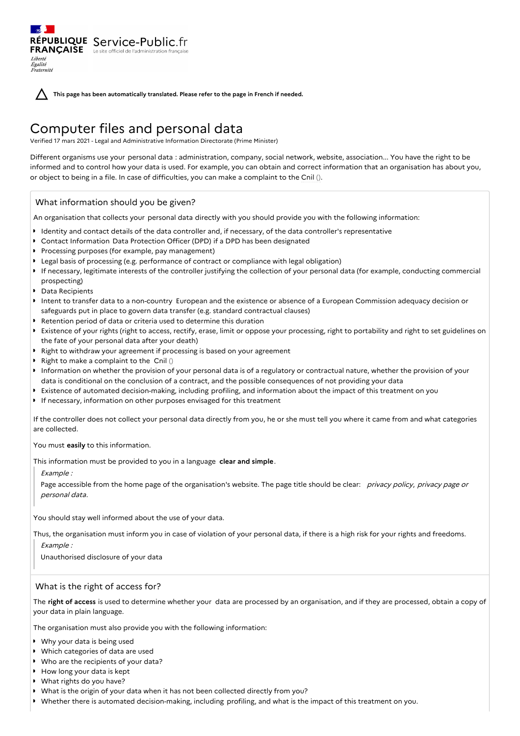**This page has been automatically translated. Please refer to the page in French if needed.**

# Computer files and personal data

Verified 17 mars 2021 - Legal and Administrative Information Directorate (Prime Minister)

Different organisms use your personal data : administration, company, social network, website, association... You have the right to be informed and to control how your data is used. For example, you can obtain and correct information that an organisation has about you, or object to being in a file. In case of difficulties, you can make a complaint to the Cnil ().

## What information should you be given?

RÉPUBLIQUE Service-Public.fr **FRANÇAISE** Le site officiel de l'administration fran

An organisation that collects your personal data directly with you should provide you with the following information:

- I dentity and contact details of the data controller and, if necessary, of the data controller's representative
- Contact Information Data Protection Officer (DPD) if a DPD has been designated
- Processing purposes (for example, pay management)
- Legal basis of processing (e.g. performance of contract or compliance with legal obligation)
- If necessary, legitimate interests of the controller justifying the collection of your personal data (for example, conducting commercial prospecting)
- Data Recipients

Liberté Égalité Fraternité

- Intent to transfer data to a non-country European and the existence or absence of a European Commission adequacy decision or safeguards put in place to govern data transfer (e.g. standard contractual clauses)
- Retention period of data or criteria used to determine this duration
- Existence of your rights (right to access, rectify, erase, limit or oppose your processing, right to portability and right to set guidelines on the fate of your personal data after your death)
- Right to withdraw your agreement if processing is based on your agreement
- Right to make a complaint to the  $\text{Cnil}$  ()
- Information on whether the provision of your personal data is of a regulatory or contractual nature, whether the provision of your data is conditional on the conclusion of a contract, and the possible consequences of not providing your data
- Existence of automated decision-making, including profiling, and information about the impact of this treatment on you
- **If necessary, information on other purposes envisaged for this treatment**

If the controller does not collect your personal data directly from you, he or she must tell you where it came from and what categories are collected.

You must **easily** to this information.

This information must be provided to you in a language **clear and simple**.

Example :

Page accessible from the home page of the organisation's website. The page title should be clear: privacy policy, privacy page or personal data.

You should stay well informed about the use of your data.

Thus, the organisation must inform you in case of violation of your personal data, if there is a high risk for your rights and freedoms.

Example :

Unauthorised disclosure of your data

## What is the right of access for?

The **right of access** is used to determine whether your data are processed by an organisation, and if they are processed, obtain a copy of your data in plain language.

The organisation must also provide you with the following information:

- Why your data is being used
- Which categories of data are used
- Who are the recipients of your data?
- How long your data is kept
- What rights do you have?
- What is the origin of your data when it has not been collected directly from you?
- Whether there is automated decision-making, including profiling, and what is the impact of this treatment on you.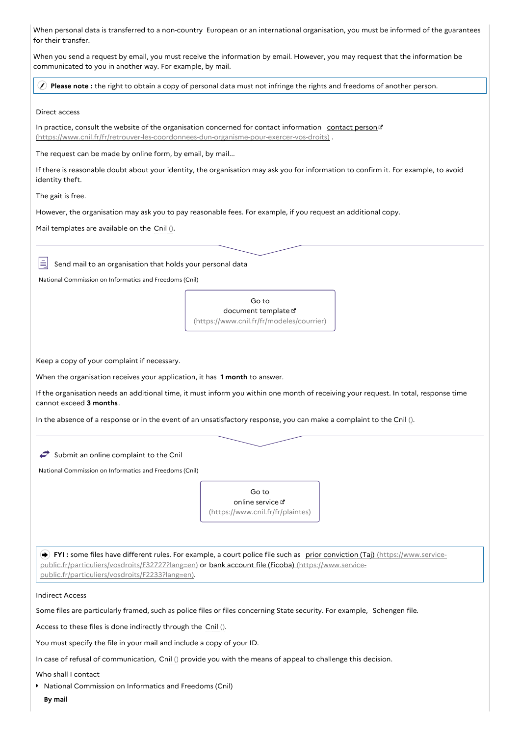When personal data is transferred to a non-country European or an international organisation, you must be informed of the guarantees for their transfer.

When you send a request by email, you must receive the information by email. However, you may request that the information be communicated to you in another way. For example, by mail.

**Please note :** the right to obtain a copy of personal data must not infringe the rights and freedoms of another person.

#### Direct access

In practice, consult the website of the organisation concerned for contact information contact person c [\(https://www.cnil.fr/fr/retrouver-les-coordonnees-dun-organisme-pour-exercer-vos-droits\)](https://www.cnil.fr/fr/retrouver-les-coordonnees-dun-organisme-pour-exercer-vos-droits) .

The request can be made by online form, by email, by mail...

If there is reasonable doubt about your identity, the organisation may ask you for information to confirm it. For example, to avoid identity theft.

The gait is free.

However, the organisation may ask you to pay reasonable fees. For example, if you request an additional copy.

Mail templates are available on the Cnil ().

Send mail to an organisation that holds your personal data

National Commission on Informatics and Freedoms (Cnil)

Go to document template [\(https://www.cnil.fr/fr/modeles/courrier\)](https://www.cnil.fr/fr/modeles/courrier)

Keep a copy of your complaint if necessary.

When the organisation receives your application, it has **1 month** to answer.

If the organisation needs an additional time, it must inform you within one month of receiving your request. In total, response time cannot exceed **3 months**.

In the absence of a response or in the event of an unsatisfactory response, you can make a complaint to the Cnil ().

 $\leftrightarrow$  Submit an online complaint to the Cnil

National Commission on Informatics and Freedoms (Cnil)



**FYI**: some files have different rules. For example, a court police file such as prior conviction (Taj) (https://www.service[public.fr/particuliers/vosdroits/F32727?lang=en\)](https://www.service-public.fr/particuliers/vosdroits/F32727?lang=en) or bank account file (Ficoba) (https://www.servicepublic.fr/particuliers/vosdroits/F2233?lang=en).

Indirect Access

Some files are particularly framed, such as police files or files concerning State security. For example, Schengen file.

Access to these files is done indirectly through the Cnil ().

You must specify the file in your mail and include a copy of your ID.

In case of refusal of communication, Cnil () provide you with the means of appeal to challenge this decision.

Who shall I contact

**National Commission on Informatics and Freedoms (Cnil)** 

**By mail**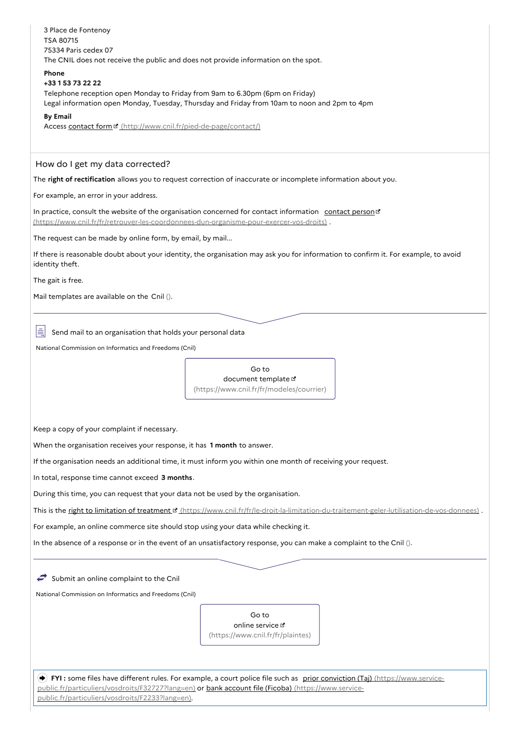| 3 Place de Fontenoy                                                                                                                                                                                             |                                                                                                                             |  |
|-----------------------------------------------------------------------------------------------------------------------------------------------------------------------------------------------------------------|-----------------------------------------------------------------------------------------------------------------------------|--|
| TSA 80715<br>75334 Paris cedex 07                                                                                                                                                                               |                                                                                                                             |  |
| The CNIL does not receive the public and does not provide information on the spot.                                                                                                                              |                                                                                                                             |  |
| <b>Phone</b>                                                                                                                                                                                                    |                                                                                                                             |  |
| +33 1 53 73 22 22<br>Telephone reception open Monday to Friday from 9am to 6.30pm (6pm on Friday)                                                                                                               |                                                                                                                             |  |
|                                                                                                                                                                                                                 | Legal information open Monday, Tuesday, Thursday and Friday from 10am to noon and 2pm to 4pm                                |  |
| <b>By Email</b>                                                                                                                                                                                                 |                                                                                                                             |  |
| Access contact form " (http://www.cnil.fr/pied-de-page/contact/)                                                                                                                                                |                                                                                                                             |  |
| How do I get my data corrected?                                                                                                                                                                                 |                                                                                                                             |  |
| The right of rectification allows you to request correction of inaccurate or incomplete information about you.                                                                                                  |                                                                                                                             |  |
| For example, an error in your address.                                                                                                                                                                          |                                                                                                                             |  |
| In practice, consult the website of the organisation concerned for contact information contact person <sup>13</sup><br>(https://www.cnil.fr/fr/retrouver-les-coordonnees-dun-organisme-pour-exercer-vos-droits) |                                                                                                                             |  |
| The request can be made by online form, by email, by mail                                                                                                                                                       |                                                                                                                             |  |
| If there is reasonable doubt about your identity, the organisation may ask you for information to confirm it. For example, to avoid<br>identity theft.                                                          |                                                                                                                             |  |
| The gait is free.                                                                                                                                                                                               |                                                                                                                             |  |
| Mail templates are available on the Cnil ().                                                                                                                                                                    |                                                                                                                             |  |
|                                                                                                                                                                                                                 |                                                                                                                             |  |
|                                                                                                                                                                                                                 |                                                                                                                             |  |
| Send mail to an organisation that holds your personal data                                                                                                                                                      |                                                                                                                             |  |
| National Commission on Informatics and Freedoms (Cnil)                                                                                                                                                          |                                                                                                                             |  |
|                                                                                                                                                                                                                 | Go to                                                                                                                       |  |
|                                                                                                                                                                                                                 | document template L'                                                                                                        |  |
|                                                                                                                                                                                                                 | (https://www.cnil.fr/fr/modeles/courrier)                                                                                   |  |
|                                                                                                                                                                                                                 |                                                                                                                             |  |
| Keep a copy of your complaint if necessary.                                                                                                                                                                     |                                                                                                                             |  |
| When the organisation receives your response, it has 1 month to answer.                                                                                                                                         |                                                                                                                             |  |
| If the organisation needs an additional time, it must inform you within one month of receiving your request.                                                                                                    |                                                                                                                             |  |
| In total, response time cannot exceed 3 months.                                                                                                                                                                 |                                                                                                                             |  |
| During this time, you can request that your data not be used by the organisation.                                                                                                                               |                                                                                                                             |  |
| This is the right to limitation of treatment ¤ (https://www.cnil.fr/fr/le-droit-la-limitation-du-traitement-geler-lutilisation-de-vos-donnees)                                                                  |                                                                                                                             |  |
|                                                                                                                                                                                                                 |                                                                                                                             |  |
| For example, an online commerce site should stop using your data while checking it.                                                                                                                             |                                                                                                                             |  |
|                                                                                                                                                                                                                 | In the absence of a response or in the event of an unsatisfactory response, you can make a complaint to the Cnil ().        |  |
|                                                                                                                                                                                                                 |                                                                                                                             |  |
| Submit an online complaint to the Cnil                                                                                                                                                                          |                                                                                                                             |  |
| National Commission on Informatics and Freedoms (Cnil)                                                                                                                                                          |                                                                                                                             |  |
|                                                                                                                                                                                                                 | Go to                                                                                                                       |  |
|                                                                                                                                                                                                                 | online service L'                                                                                                           |  |
|                                                                                                                                                                                                                 | (https://www.cnil.fr/fr/plaintes)                                                                                           |  |
|                                                                                                                                                                                                                 |                                                                                                                             |  |
|                                                                                                                                                                                                                 | FYI: some files have different rules. For example, a court police file such as prior conviction (Taj) (https://www.service- |  |
|                                                                                                                                                                                                                 | public.fr/particuliers/vosdroits/F32727?lang=en) or bank account file (Ficoba) (https://www.service-                        |  |
| public.fr/particuliers/vosdroits/F2233?lang=en).                                                                                                                                                                |                                                                                                                             |  |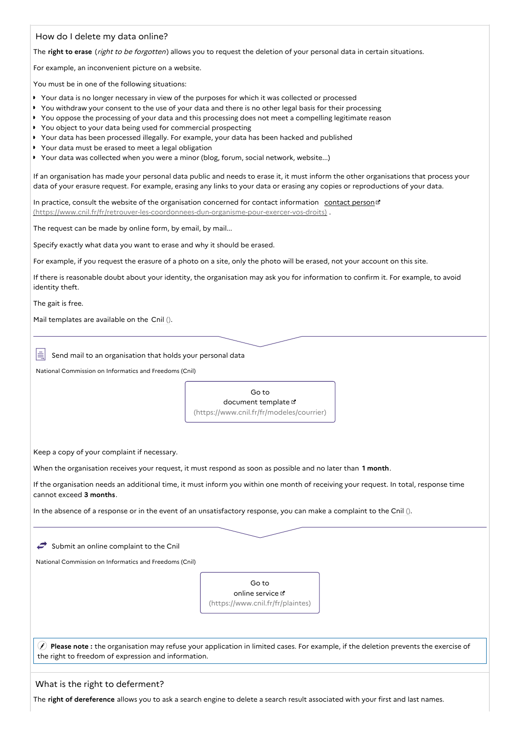| How do I delete my data online?                                                                                                                                                                                                                                                                                                                                                                                                                                                                                                                                                                                                                       |  |  |
|-------------------------------------------------------------------------------------------------------------------------------------------------------------------------------------------------------------------------------------------------------------------------------------------------------------------------------------------------------------------------------------------------------------------------------------------------------------------------------------------------------------------------------------------------------------------------------------------------------------------------------------------------------|--|--|
| The right to erase (right to be forgotten) allows you to request the deletion of your personal data in certain situations.                                                                                                                                                                                                                                                                                                                                                                                                                                                                                                                            |  |  |
| For example, an inconvenient picture on a website.                                                                                                                                                                                                                                                                                                                                                                                                                                                                                                                                                                                                    |  |  |
| You must be in one of the following situations:                                                                                                                                                                                                                                                                                                                                                                                                                                                                                                                                                                                                       |  |  |
| ▶ Your data is no longer necessary in view of the purposes for which it was collected or processed<br>> You withdraw your consent to the use of your data and there is no other legal basis for their processing<br>> You oppose the processing of your data and this processing does not meet a compelling legitimate reason<br>▶ You object to your data being used for commercial prospecting<br>▶ Your data has been processed illegally. For example, your data has been hacked and published<br>▶ Your data must be erased to meet a legal obligation<br>> Your data was collected when you were a minor (blog, forum, social network, website) |  |  |
| If an organisation has made your personal data public and needs to erase it, it must inform the other organisations that process your<br>data of your erasure request. For example, erasing any links to your data or erasing any copies or reproductions of your data.                                                                                                                                                                                                                                                                                                                                                                               |  |  |
| In practice, consult the website of the organisation concerned for contact information contact person <sup>13</sup><br>(https://www.cnil.fr/fr/retrouver-les-coordonnees-dun-organisme-pour-exercer-vos-droits).                                                                                                                                                                                                                                                                                                                                                                                                                                      |  |  |
| The request can be made by online form, by email, by mail                                                                                                                                                                                                                                                                                                                                                                                                                                                                                                                                                                                             |  |  |
| Specify exactly what data you want to erase and why it should be erased.                                                                                                                                                                                                                                                                                                                                                                                                                                                                                                                                                                              |  |  |
| For example, if you request the erasure of a photo on a site, only the photo will be erased, not your account on this site.                                                                                                                                                                                                                                                                                                                                                                                                                                                                                                                           |  |  |
| If there is reasonable doubt about your identity, the organisation may ask you for information to confirm it. For example, to avoid<br>identity theft.                                                                                                                                                                                                                                                                                                                                                                                                                                                                                                |  |  |
| The gait is free.                                                                                                                                                                                                                                                                                                                                                                                                                                                                                                                                                                                                                                     |  |  |
| Mail templates are available on the Cnil ().                                                                                                                                                                                                                                                                                                                                                                                                                                                                                                                                                                                                          |  |  |
| Send mail to an organisation that holds your personal data<br>National Commission on Informatics and Freedoms (Cnil)                                                                                                                                                                                                                                                                                                                                                                                                                                                                                                                                  |  |  |
|                                                                                                                                                                                                                                                                                                                                                                                                                                                                                                                                                                                                                                                       |  |  |
| Go to<br>document template E                                                                                                                                                                                                                                                                                                                                                                                                                                                                                                                                                                                                                          |  |  |
| (https://www.cnil.fr/fr/modeles/courrier)                                                                                                                                                                                                                                                                                                                                                                                                                                                                                                                                                                                                             |  |  |
|                                                                                                                                                                                                                                                                                                                                                                                                                                                                                                                                                                                                                                                       |  |  |
| Keep a copy of your complaint if necessary.                                                                                                                                                                                                                                                                                                                                                                                                                                                                                                                                                                                                           |  |  |
| When the organisation receives your request, it must respond as soon as possible and no later than 1 month.<br>If the organisation needs an additional time, it must inform you within one month of receiving your request. In total, response time<br>cannot exceed 3 months.                                                                                                                                                                                                                                                                                                                                                                        |  |  |
| In the absence of a response or in the event of an unsatisfactory response, you can make a complaint to the Cnil ().                                                                                                                                                                                                                                                                                                                                                                                                                                                                                                                                  |  |  |
|                                                                                                                                                                                                                                                                                                                                                                                                                                                                                                                                                                                                                                                       |  |  |
| Submit an online complaint to the Cnil                                                                                                                                                                                                                                                                                                                                                                                                                                                                                                                                                                                                                |  |  |
| National Commission on Informatics and Freedoms (Cnil)                                                                                                                                                                                                                                                                                                                                                                                                                                                                                                                                                                                                |  |  |
| Go to<br>online service L'<br>(https://www.cnil.fr/fr/plaintes)                                                                                                                                                                                                                                                                                                                                                                                                                                                                                                                                                                                       |  |  |

 **Please note :** the organisation may refuse your application in limited cases. For example, if the deletion prevents the exercise of the right to freedom of expression and information.

## What is the right to deferment?

The **right of dereference** allows you to ask a search engine to delete a search result associated with your first and last names.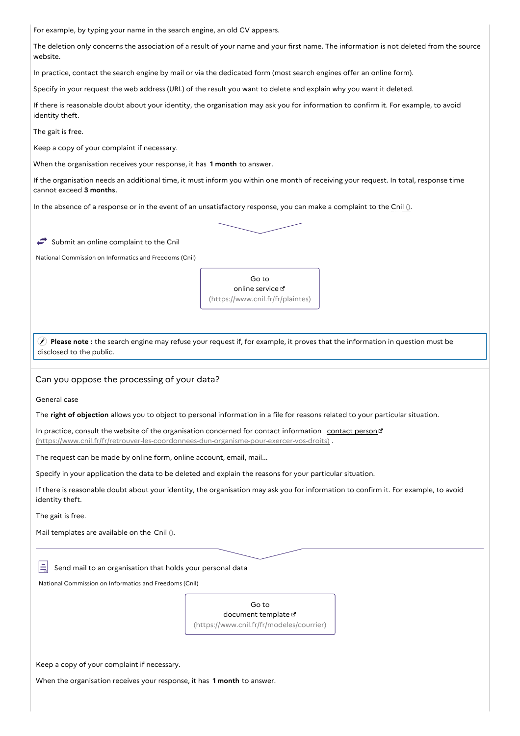| For example, by typing your name in the search engine, an old CV appears.                                                                                       |                                                                                                                                     |  |  |
|-----------------------------------------------------------------------------------------------------------------------------------------------------------------|-------------------------------------------------------------------------------------------------------------------------------------|--|--|
| The deletion only concerns the association of a result of your name and your first name. The information is not deleted from the source<br>website.             |                                                                                                                                     |  |  |
|                                                                                                                                                                 | In practice, contact the search engine by mail or via the dedicated form (most search engines offer an online form).                |  |  |
|                                                                                                                                                                 | Specify in your request the web address (URL) of the result you want to delete and explain why you want it deleted.                 |  |  |
| identity theft.                                                                                                                                                 | If there is reasonable doubt about your identity, the organisation may ask you for information to confirm it. For example, to avoid |  |  |
| The gait is free.                                                                                                                                               |                                                                                                                                     |  |  |
| Keep a copy of your complaint if necessary.                                                                                                                     |                                                                                                                                     |  |  |
| When the organisation receives your response, it has 1 month to answer.                                                                                         |                                                                                                                                     |  |  |
| If the organisation needs an additional time, it must inform you within one month of receiving your request. In total, response time<br>cannot exceed 3 months. |                                                                                                                                     |  |  |
|                                                                                                                                                                 | In the absence of a response or in the event of an unsatisfactory response, you can make a complaint to the Cnil ().                |  |  |
| Submit an online complaint to the Cnil                                                                                                                          |                                                                                                                                     |  |  |
| National Commission on Informatics and Freedoms (Cnil)                                                                                                          |                                                                                                                                     |  |  |
|                                                                                                                                                                 | Go to<br>online service L'<br>(https://www.cnil.fr/fr/plaintes)                                                                     |  |  |
| disclosed to the public.                                                                                                                                        | (c) Please note: the search engine may refuse your request if, for example, it proves that the information in question must be      |  |  |
| Can you oppose the processing of your data?                                                                                                                     |                                                                                                                                     |  |  |
| General case                                                                                                                                                    |                                                                                                                                     |  |  |
|                                                                                                                                                                 | The right of objection allows you to object to personal information in a file for reasons related to your particular situation.     |  |  |
| (https://www.cnil.fr/fr/retrouver-les-coordonnees-dun-organisme-pour-exercer-vos-droits).                                                                       | In practice, consult the website of the organisation concerned for contact information contact person                               |  |  |
| The request can be made by online form, online account, email, mail                                                                                             |                                                                                                                                     |  |  |
|                                                                                                                                                                 | Specify in your application the data to be deleted and explain the reasons for your particular situation.                           |  |  |
| If there is reasonable doubt about your identity, the organisation may ask you for information to confirm it. For example, to avoid<br>identity theft.          |                                                                                                                                     |  |  |
| The gait is free.                                                                                                                                               |                                                                                                                                     |  |  |
| Mail templates are available on the Cnil ().                                                                                                                    |                                                                                                                                     |  |  |
| Send mail to an organisation that holds your personal data                                                                                                      |                                                                                                                                     |  |  |
| National Commission on Informatics and Freedoms (Cnil)                                                                                                          |                                                                                                                                     |  |  |
|                                                                                                                                                                 | Go to<br>document template L'<br>(https://www.cnil.fr/fr/modeles/courrier)                                                          |  |  |
| Keep a copy of your complaint if necessary.                                                                                                                     |                                                                                                                                     |  |  |
| When the organisation receives your response, it has 1 month to answer.                                                                                         |                                                                                                                                     |  |  |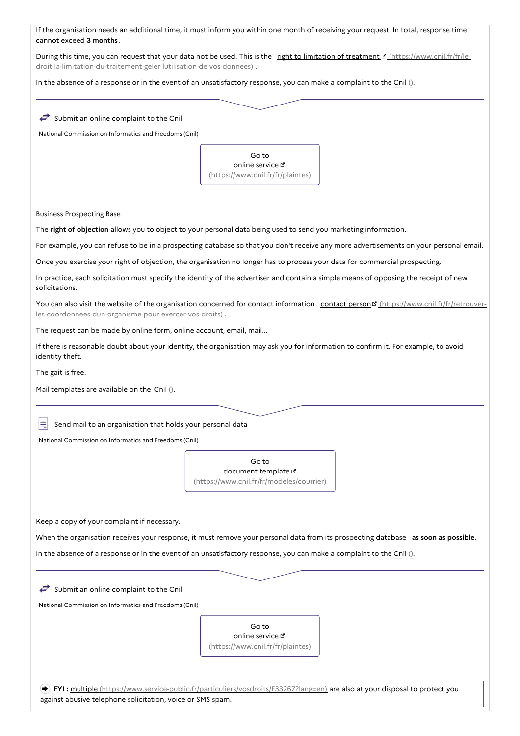If the organisation needs an additional time, it must inform you within one month of receiving your request. In total, response time cannot exceed **3 months**.

During this time, you can request that your data not be used. This is the right to limitation of treatment [ https://www.cnil.fr/fr/le[droit-la-limitation-du-traitement-geler-lutilisation-de-vos-donnees\)](https://www.cnil.fr/fr/le-droit-la-limitation-du-traitement-geler-lutilisation-de-vos-donnees) .

In the absence of a response or in the event of an unsatisfactory response, you can make a complaint to the Cnil ().

| Submit an online complaint to the Cnil                              |                                                                                                                                                      |
|---------------------------------------------------------------------|------------------------------------------------------------------------------------------------------------------------------------------------------|
| National Commission on Informatics and Freedoms (Cnil)              |                                                                                                                                                      |
|                                                                     |                                                                                                                                                      |
|                                                                     | Go to                                                                                                                                                |
|                                                                     | online service L'<br>(https://www.cnil.fr/fr/plaintes)                                                                                               |
|                                                                     |                                                                                                                                                      |
| <b>Business Prospecting Base</b>                                    |                                                                                                                                                      |
|                                                                     | The right of objection allows you to object to your personal data being used to send you marketing information.                                      |
|                                                                     | For example, you can refuse to be in a prospecting database so that you don't receive any more advertisements on your personal email.                |
|                                                                     | Once you exercise your right of objection, the organisation no longer has to process your data for commercial prospecting.                           |
|                                                                     | In practice, each solicitation must specify the identity of the advertiser and contain a simple means of opposing the receipt of new                 |
| solicitations.                                                      |                                                                                                                                                      |
| les-coordonnees-dun-organisme-pour-exercer-vos-droits).             | You can also visit the website of the organisation concerned for contact information contact person <sup>re</sup> (https://www.cnil.fr/fr/retrouver- |
| The request can be made by online form, online account, email, mail |                                                                                                                                                      |
| identity theft.                                                     | If there is reasonable doubt about your identity, the organisation may ask you for information to confirm it. For example, to avoid                  |
| The gait is free.                                                   |                                                                                                                                                      |
| Mail templates are available on the Cnil ().                        |                                                                                                                                                      |
|                                                                     |                                                                                                                                                      |
|                                                                     |                                                                                                                                                      |
| Send mail to an organisation that holds your personal data          |                                                                                                                                                      |
| National Commission on Informatics and Freedoms (Cnil)              |                                                                                                                                                      |
|                                                                     | Go to                                                                                                                                                |
|                                                                     | document template L'                                                                                                                                 |
|                                                                     | (https://www.cnil.fr/fr/modeles/courrier)                                                                                                            |
|                                                                     |                                                                                                                                                      |
| Keep a copy of your complaint if necessary.                         |                                                                                                                                                      |
|                                                                     | When the organisation receives your response, it must remove your personal data from its prospecting database as soon as possible.                   |
|                                                                     | In the absence of a response or in the event of an unsatisfactory response, you can make a complaint to the Cnil ().                                 |
|                                                                     |                                                                                                                                                      |
| Submit an online complaint to the Cnil                              |                                                                                                                                                      |
| National Commission on Informatics and Freedoms (Cnil)              |                                                                                                                                                      |
|                                                                     |                                                                                                                                                      |
|                                                                     | Go to                                                                                                                                                |
|                                                                     | online service L'<br>(https://www.cnil.fr/fr/plaintes)                                                                                               |
|                                                                     |                                                                                                                                                      |
|                                                                     |                                                                                                                                                      |
|                                                                     | $\blacktriangleright$ FYI: multiple (https://www.service-public.fr/particuliers/vosdroits/F33267?lang=en) are also at your disposal to protect you   |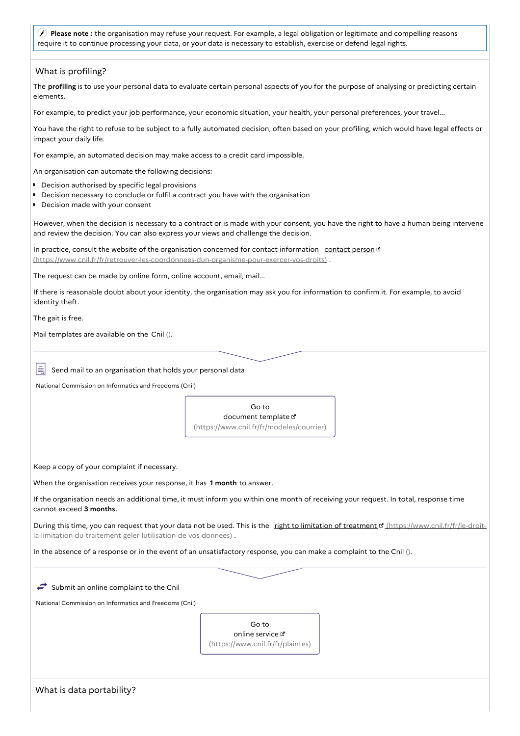**Please note :** the organisation may refuse your request. For example, a legal obligation or legitimate and compelling reasons require it to continue processing your data, or your data is necessary to establish, exercise or defend legal rights.

| What is profiling?                                                                                                                                                            |                                                                                                                                                  |
|-------------------------------------------------------------------------------------------------------------------------------------------------------------------------------|--------------------------------------------------------------------------------------------------------------------------------------------------|
| elements.                                                                                                                                                                     | The <b>profiling</b> is to use your personal data to evaluate certain personal aspects of you for the purpose of analysing or predicting certain |
|                                                                                                                                                                               | For example, to predict your job performance, your economic situation, your health, your personal preferences, your travel                       |
| impact your daily life.                                                                                                                                                       | You have the right to refuse to be subject to a fully automated decision, often based on your profiling, which would have legal effects or       |
| For example, an automated decision may make access to a credit card impossible.                                                                                               |                                                                                                                                                  |
| An organisation can automate the following decisions:                                                                                                                         |                                                                                                                                                  |
| ▶ Decision authorised by specific legal provisions<br>▶ Decision necessary to conclude or fulfil a contract you have with the organisation<br>Decision made with your consent |                                                                                                                                                  |
| and review the decision. You can also express your views and challenge the decision.                                                                                          | However, when the decision is necessary to a contract or is made with your consent, you have the right to have a human being intervene           |
| (https://www.cnil.fr/fr/retrouver-les-coordonnees-dun-organisme-pour-exercer-vos-droits).                                                                                     | In practice, consult the website of the organisation concerned for contact information contact person                                            |
| The request can be made by online form, online account, email, mail                                                                                                           |                                                                                                                                                  |
| identity theft.                                                                                                                                                               | If there is reasonable doubt about your identity, the organisation may ask you for information to confirm it. For example, to avoid              |
| The gait is free.                                                                                                                                                             |                                                                                                                                                  |
| Mail templates are available on the Cnil ().                                                                                                                                  |                                                                                                                                                  |
|                                                                                                                                                                               |                                                                                                                                                  |
| Send mail to an organisation that holds your personal data                                                                                                                    |                                                                                                                                                  |
| National Commission on Informatics and Freedoms (Cnil)                                                                                                                        |                                                                                                                                                  |
|                                                                                                                                                                               |                                                                                                                                                  |
|                                                                                                                                                                               | Go to<br>document template E                                                                                                                     |
|                                                                                                                                                                               | (https://www.cnil.fr/fr/modeles/courrier)                                                                                                        |
|                                                                                                                                                                               |                                                                                                                                                  |
| Keep a copy of your complaint if necessary.                                                                                                                                   |                                                                                                                                                  |
| When the organisation receives your response, it has 1 month to answer.                                                                                                       |                                                                                                                                                  |
| cannot exceed 3 months.                                                                                                                                                       | If the organisation needs an additional time, it must inform you within one month of receiving your request. In total, response time             |
| la-limitation-du-traitement-geler-lutilisation-de-vos-donnees).                                                                                                               | During this time, you can request that your data not be used. This is the right to limitation of treatment of (https://www.cnil.fr/fr/le-droit-  |
|                                                                                                                                                                               | In the absence of a response or in the event of an unsatisfactory response, you can make a complaint to the Cnil ().                             |
|                                                                                                                                                                               |                                                                                                                                                  |
| Submit an online complaint to the Cnil                                                                                                                                        |                                                                                                                                                  |
| National Commission on Informatics and Freedoms (Cnil)                                                                                                                        |                                                                                                                                                  |
|                                                                                                                                                                               | Go to                                                                                                                                            |
|                                                                                                                                                                               | online service L'<br>(https://www.cnil.fr/fr/plaintes)                                                                                           |
|                                                                                                                                                                               |                                                                                                                                                  |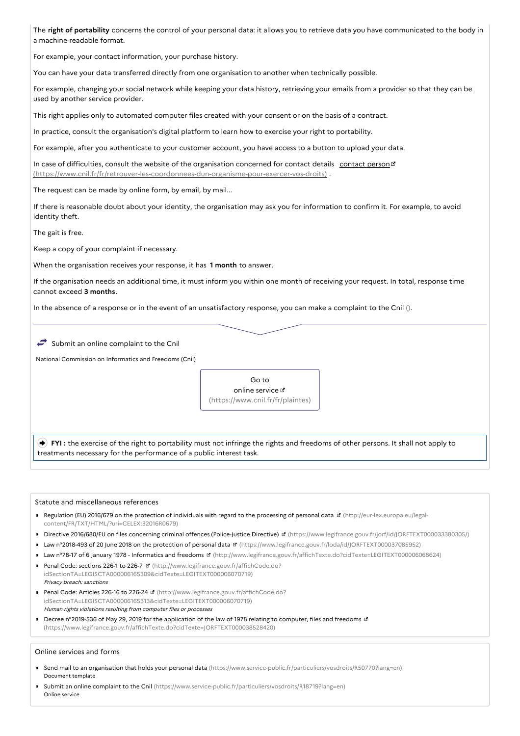The **right of portability** concerns the control of your personal data: it allows you to retrieve data you have communicated to the body in a machine-readable format.

For example, your contact information, your purchase history.

You can have your data transferred directly from one organisation to another when technically possible.

For example, changing your social network while keeping your data history, retrieving your emails from a provider so that they can be used by another service provider.

This right applies only to automated computer files created with your consent or on the basis of a contract.

In practice, consult the organisation's digital platform to learn how to exercise your right to portability.

For example, after you authenticate to your customer account, you have access to a button to upload your data.

In case of difficulties, consult the website of the organisation concerned for contact details contact person d [\(https://www.cnil.fr/fr/retrouver-les-coordonnees-dun-organisme-pour-exercer-vos-droits\)](https://www.cnil.fr/fr/retrouver-les-coordonnees-dun-organisme-pour-exercer-vos-droits) .

The request can be made by online form, by email, by mail...

If there is reasonable doubt about your identity, the organisation may ask you for information to confirm it. For example, to avoid identity theft.

The gait is free.

Keep a copy of your complaint if necessary.

When the organisation receives your response, it has **1 month** to answer.

If the organisation needs an additional time, it must inform you within one month of receiving your request. In total, response time cannot exceed **3 months**.

In the absence of a response or in the event of an unsatisfactory response, you can make a complaint to the Cnil ().

 $\rightarrow$  Submit an online complaint to the Cnil

National Commission on Informatics and Freedoms (Cnil)



**FYI**: the exercise of the right to portability must not infringe the rights and freedoms of other persons. It shall not apply to treatments necessary for the performance of a public interest task.

#### Statute and miscellaneous references

- Regulation (EU) 2016/679 on the protection of individuals with regard to the processing of personal data (http://eur-lex.europa.eu/legal[content/FR/TXT/HTML/?uri=CELEX:32016R0679\)](http://eur-lex.europa.eu/legal-content/FR/TXT/HTML/?uri=CELEX:32016R0679)
- Directive 2016/680/EU on files concerning criminal offences (Police-Justice Directive) & [\(https://www.legifrance.gouv.fr/jorf/id/JORFTEXT000033380305/\)](https://www.legifrance.gouv.fr/jorf/id/JORFTEXT000033380305/)
- Law n°2018-493 of 20 June 2018 on the protection of personal data ¤ [\(https://www.legifrance.gouv.fr/loda/id/JORFTEXT000037085952\)](https://www.legifrance.gouv.fr/loda/id/JORFTEXT000037085952)
- Law n°78-17 of 6 January 1978 Informatics and freedoms [\(http://www.legifrance.gouv.fr/affichTexte.do?cidTexte=LEGITEXT000006068624\)](http://www.legifrance.gouv.fr/affichTexte.do?cidTexte=LEGITEXT000006068624)
- Penal Code: sections 226-1 to 226-7 **E** (http://www.legifrance.gouv.fr/affichCode.do? [idSectionTA=LEGISCTA000006165309&cidTexte=LEGITEXT000006070719\)](http://www.legifrance.gouv.fr/affichCode.do?idSectionTA=LEGISCTA000006165309&cidTexte=LEGITEXT000006070719) Privacy breach: sanctions
- Penal Code: Articles 226-16 to 226-24 **d'** (http://www.legifrance.gouv.fr/affichCode.do? [idSectionTA=LEGISCTA000006165313&cidTexte=LEGITEXT000006070719\)](http://www.legifrance.gouv.fr/affichCode.do?idSectionTA=LEGISCTA000006165313&cidTexte=LEGITEXT000006070719) Human rights violations resulting from computer files or processes
- Decree n°2019-536 of May 29, 2019 for the application of the law of 1978 relating to computer, files and freedoms is [\(https://www.legifrance.gouv.fr/affichTexte.do?cidTexte=JORFTEXT000038528420\)](https://www.legifrance.gouv.fr/affichTexte.do?cidTexte=JORFTEXT000038528420)

#### Online services and forms

- Send mail to an organisation that holds your personal data [\(https://www.service-public.fr/particuliers/vosdroits/R50770?lang=en\)](https://www.service-public.fr/particuliers/vosdroits/R50770?lang=en) Document template
- Submit an online complaint to the Cnil [\(https://www.service-public.fr/particuliers/vosdroits/R18719?lang=en\)](https://www.service-public.fr/particuliers/vosdroits/R18719?lang=en) Online service